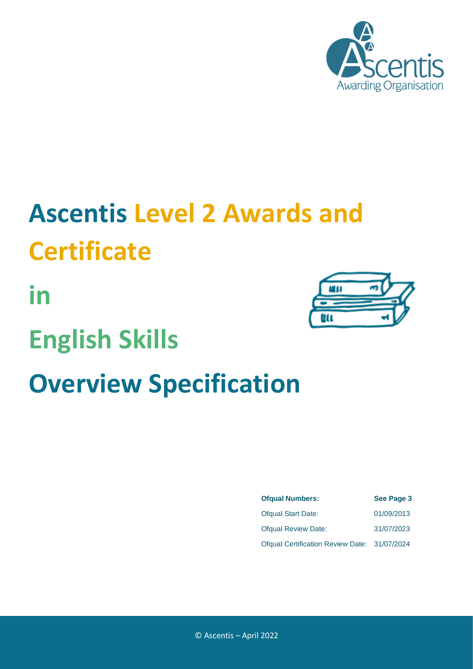

# **Ascentis Level 2 Awards and Certificate**

**in**

## **English Skills**

# **Overview Specification**



| <b>Ofqual Numbers:</b>                       | See Page 3 |
|----------------------------------------------|------------|
| <b>Ofqual Start Date:</b>                    | 01/09/2013 |
| <b>Ofqual Review Date:</b>                   | 31/07/2023 |
| Ofqual Certification Review Date: 31/07/2024 |            |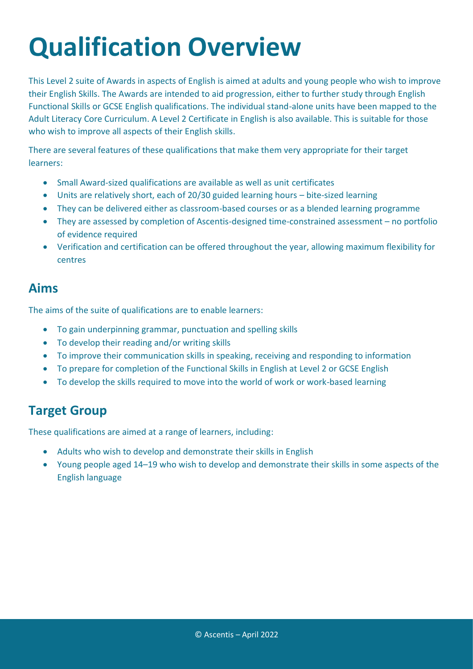# **Qualification Overview**

This Level 2 suite of Awards in aspects of English is aimed at adults and young people who wish to improve their English Skills. The Awards are intended to aid progression, either to further study through English Functional Skills or GCSE English qualifications. The individual stand-alone units have been mapped to the Adult Literacy Core Curriculum. A Level 2 Certificate in English is also available. This is suitable for those who wish to improve all aspects of their English skills.

There are several features of these qualifications that make them very appropriate for their target learners:

- Small Award-sized qualifications are available as well as unit certificates
- Units are relatively short, each of 20/30 guided learning hours bite-sized learning
- They can be delivered either as classroom-based courses or as a blended learning programme
- They are assessed by completion of Ascentis-designed time-constrained assessment no portfolio of evidence required
- Verification and certification can be offered throughout the year, allowing maximum flexibility for centres

#### **Aims**

The aims of the suite of qualifications are to enable learners:

- To gain underpinning grammar, punctuation and spelling skills
- To develop their reading and/or writing skills
- To improve their communication skills in speaking, receiving and responding to information
- To prepare for completion of the Functional Skills in English at Level 2 or GCSE English
- To develop the skills required to move into the world of work or work-based learning

### **Target Group**

These qualifications are aimed at a range of learners, including:

- Adults who wish to develop and demonstrate their skills in English
- Young people aged 14–19 who wish to develop and demonstrate their skills in some aspects of the English language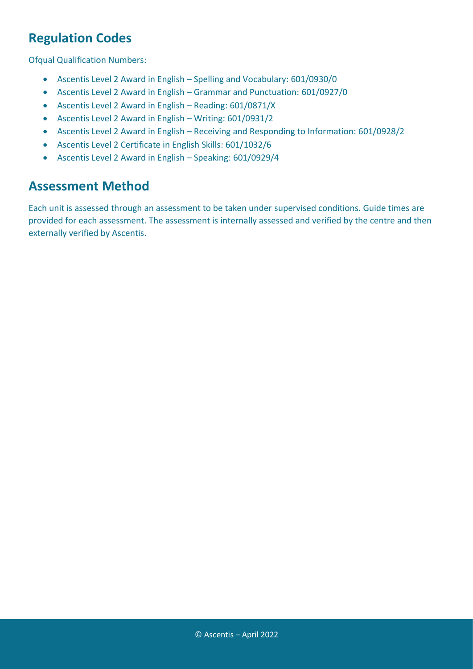### **Regulation Codes**

Ofqual Qualification Numbers:

- Ascentis Level 2 Award in English Spelling and Vocabulary: 601/0930/0
- Ascentis Level 2 Award in English Grammar and Punctuation: 601/0927/0
- Ascentis Level 2 Award in English Reading: 601/0871/X
- Ascentis Level 2 Award in English Writing: 601/0931/2
- Ascentis Level 2 Award in English Receiving and Responding to Information: 601/0928/2
- Ascentis Level 2 Certificate in English Skills: 601/1032/6
- Ascentis Level 2 Award in English Speaking: 601/0929/4

#### **Assessment Method**

Each unit is assessed through an assessment to be taken under supervised conditions. Guide times are provided for each assessment. The assessment is internally assessed and verified by the centre and then externally verified by Ascentis.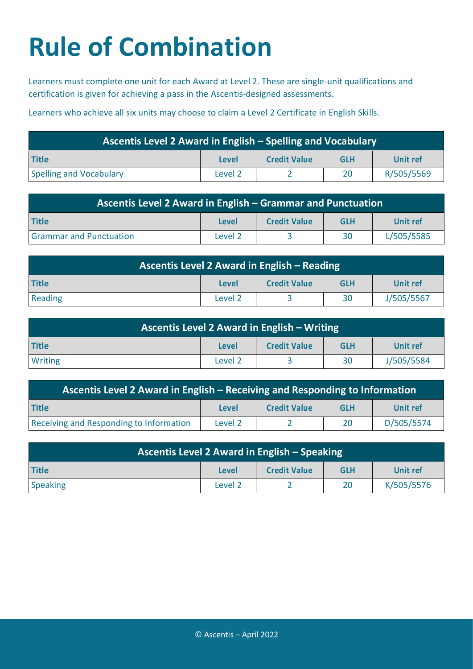# **Rule of Combination**

Learners must complete one unit for each Award at Level 2. These are single-unit qualifications and certification is given for achieving a pass in the Ascentis-designed assessments.

Learners who achieve all six units may choose to claim a Level 2 Certificate in English Skills.

| Ascentis Level 2 Award in English – Spelling and Vocabulary |         |                     |            |            |
|-------------------------------------------------------------|---------|---------------------|------------|------------|
| Title                                                       | Level   | <b>Credit Value</b> | <b>GLH</b> | Unit ref   |
| Spelling and Vocabulary                                     | Level 2 |                     | 20         | R/505/5569 |

| Ascentis Level 2 Award in English – Grammar and Punctuation |         |                     |            |            |
|-------------------------------------------------------------|---------|---------------------|------------|------------|
| <b>Title</b>                                                | Level   | <b>Credit Value</b> | <b>GLH</b> | Unit ref   |
| <b>Grammar and Punctuation</b>                              | Level 2 |                     | 30         | L/505/5585 |

| Ascentis Level 2 Award in English – Reading |         |                     |            |            |
|---------------------------------------------|---------|---------------------|------------|------------|
| <b>Title</b>                                | Level   | <b>Credit Value</b> | <b>GLH</b> | Unit ref   |
| Reading                                     | Level 2 |                     | 30         | J/505/5567 |

| Ascentis Level 2 Award in English – Writing |         |                     |            |            |
|---------------------------------------------|---------|---------------------|------------|------------|
| <b>Title</b>                                | Level   | <b>Credit Value</b> | <b>GLH</b> | Unit ref   |
| <b>Writing</b>                              | Level 2 |                     | 30         | J/505/5584 |

| Ascentis Level 2 Award in English – Receiving and Responding to Information |         |                     |            |            |
|-----------------------------------------------------------------------------|---------|---------------------|------------|------------|
| <b>Title</b>                                                                | Level   | <b>Credit Value</b> | <b>GLH</b> | Unit ref   |
| <b>Receiving and Responding to Information</b>                              | Level 2 |                     | 20         | D/505/5574 |

| Ascentis Level 2 Award in English – Speaking |              |                     |            |            |
|----------------------------------------------|--------------|---------------------|------------|------------|
| <b>Title</b>                                 | <b>Level</b> | <b>Credit Value</b> | <b>GLH</b> | Unit ref   |
| <b>Speaking</b>                              | Level 2      |                     | 20         | K/505/5576 |